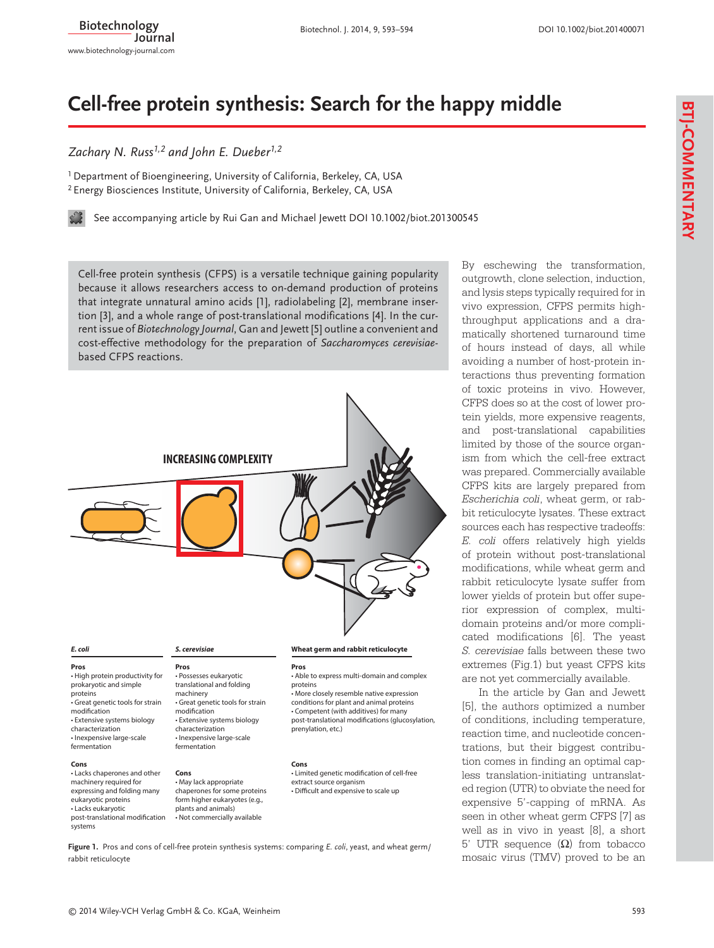# **Cell-free protein synthesis: Search for the happy middle**

## *Zachary N. Russ1,2 and John E. Dueber1,2*

<sup>1</sup> Department of Bioengineering, University of California, Berkeley, CA, USA <sup>2</sup> Energy Biosciences Institute, University of California, Berkeley, CA, USA

 [See accompanying article by Rui Gan and Michael Jewett DOI 10.1002/biot.201300545](http://dx.doi.org/10.1002/biot.201300545)

Cell-free protein synthesis (CFPS) is a versatile technique gaining popularity because it allows researchers access to on-demand production of proteins that integrate unnatural amino acids [1], radiolabeling [2], membrane insertion [3], and a whole range of post-translational modifications [4]. In the current issue of *Biotechnology Journal*, Gan and Jewett [5] outline a convenient and cost-effective methodology for the preparation of *Saccharomyces cerevisiae*based CFPS reactions.



**Pros**

• High protein productivity for prokaryotic and simple proteins • Great genetic tools for strain modification • Extensive systems biology characterization • Inexpensive large-scale fermentation • Possesses eukaryotic fermentation

#### **Cons**

• Lacks chaperones and other machinery required for expressing and folding many eukaryotic proteins • Lacks eukaryotic post-translational modification systems

translational and folding machinery • Great genetic tools for strain modification • Extensive systems biology characterization • Inexpensive large-scale

**Cons** • May lack appropriate chaperones for some proteins form higher eukaryotes (e.g., plants and animals)

• Not commercially available

• Able to express multi-domain and complex proteins

• More closely resemble native expression conditions for plant and animal proteins • Competent (with additives) for many post-translational modifications (glucosylation, prenylation, etc.)

#### **Cons**

• Limited genetic modification of cell-free extract source organism • Difficult and expensive to scale up

**Figure 1.** Pros and cons of cell-free protein synthesis systems: comparing *E. coli*, yeast, and wheat germ/ rabbit reticulocyte

By eschewing the transformation, outgrowth, clone selection, induction, and lysis steps typically required for in vivo expression, CFPS permits highthroughput applications and a dramatically shortened turnaround time of hours instead of days, all while avoiding a number of host-protein interactions thus preventing formation of toxic proteins in vivo. However, CFPS does so at the cost of lower protein yields, more expensive reagents, and post-translational capabilities limited by those of the source organism from which the cell-free extract was prepared. Commercially available CFPS kits are largely prepared from *Escherichia coli*, wheat germ, or rabbit reticulocyte lysates. These extract sources each has respective tradeoffs: *E. coli* offers relatively high yields of protein without post-translational modifications, while wheat germ and rabbit reticulocyte lysate suffer from lower yields of protein but offer superior expression of complex, multi domain proteins and/or more complicated modifications [6]. The yeast *S. cerevisiae* falls between these two extremes (Fig.1) but yeast CFPS kits are not yet commercially available.

In the article by Gan and Jewett [5], the authors optimized a number of conditions, including temperature, reaction time, and nucleotide concentrations, but their biggest contribution comes in finding an optimal capless translation-initiating untranslated region (UTR) to obviate the need for expensive 5'-capping of mRNA. As seen in other wheat germ CFPS [7] as well as in vivo in yeast [8], a short 5' UTR sequence  $(Ω)$  from tobacco mosaic virus (TMV) proved to be an